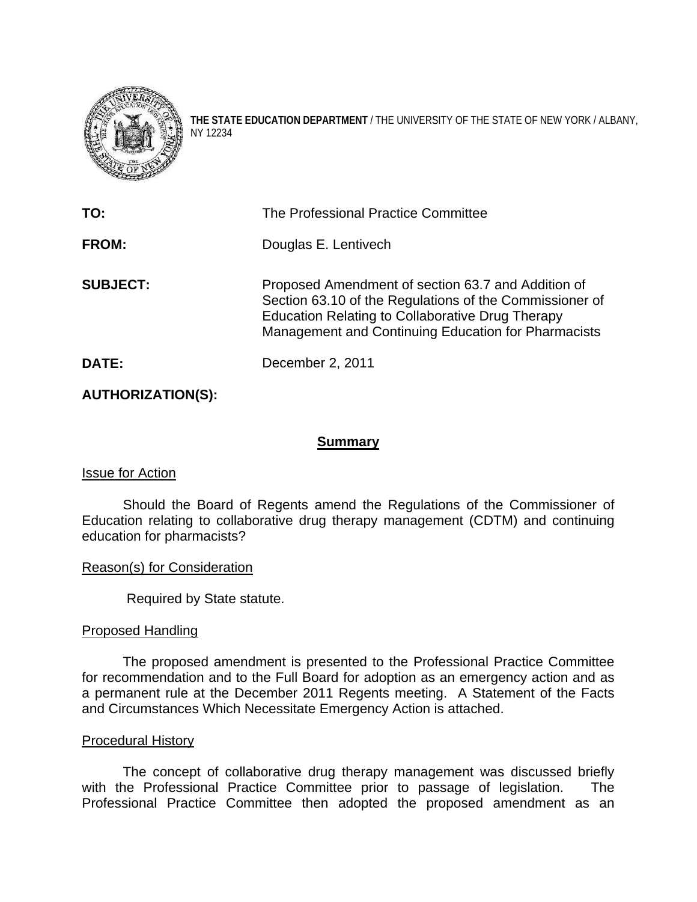

**THE STATE EDUCATION DEPARTMENT** / THE UNIVERSITY OF THE STATE OF NEW YORK / ALBANY, NY 12234

| TO:             | The Professional Practice Committee                                                                                                                                                                                      |
|-----------------|--------------------------------------------------------------------------------------------------------------------------------------------------------------------------------------------------------------------------|
| <b>FROM:</b>    | Douglas E. Lentivech                                                                                                                                                                                                     |
| <b>SUBJECT:</b> | Proposed Amendment of section 63.7 and Addition of<br>Section 63.10 of the Regulations of the Commissioner of<br>Education Relating to Collaborative Drug Therapy<br>Management and Continuing Education for Pharmacists |
| DATE:           | December 2, 2011                                                                                                                                                                                                         |

# **AUTHORIZATION(S):**

# **Summary**

# Issue for Action

 Should the Board of Regents amend the Regulations of the Commissioner of Education relating to collaborative drug therapy management (CDTM) and continuing education for pharmacists?

# Reason(s) for Consideration

Required by State statute.

#### Proposed Handling

The proposed amendment is presented to the Professional Practice Committee for recommendation and to the Full Board for adoption as an emergency action and as a permanent rule at the December 2011 Regents meeting. A Statement of the Facts and Circumstances Which Necessitate Emergency Action is attached.

#### Procedural History

The concept of collaborative drug therapy management was discussed briefly with the Professional Practice Committee prior to passage of legislation. The Professional Practice Committee then adopted the proposed amendment as an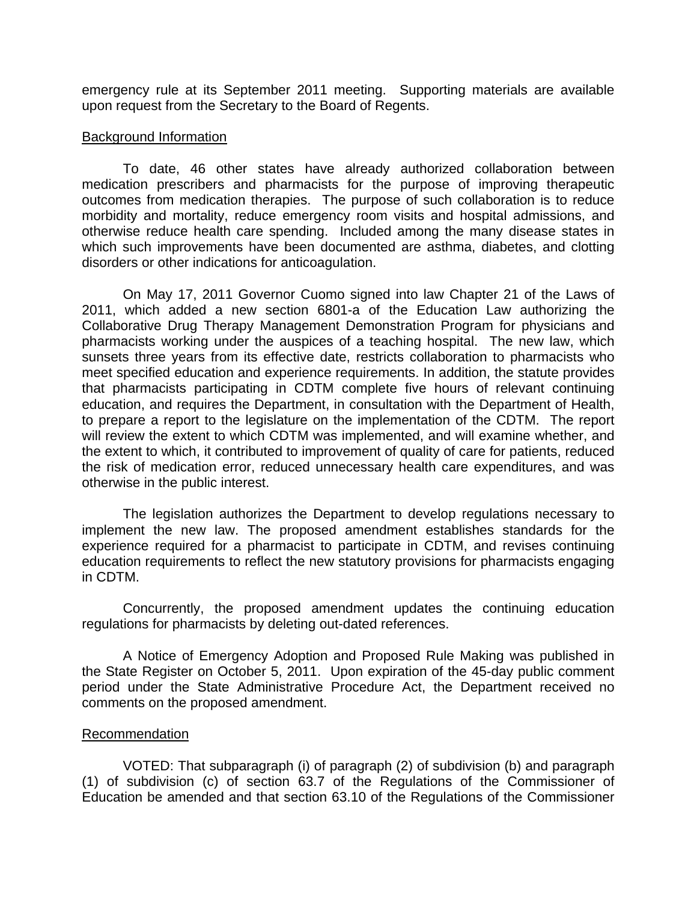emergency rule at its September 2011 meeting. Supporting materials are available upon request from the Secretary to the Board of Regents.

#### Background Information

To date, 46 other states have already authorized collaboration between medication prescribers and pharmacists for the purpose of improving therapeutic outcomes from medication therapies. The purpose of such collaboration is to reduce morbidity and mortality, reduce emergency room visits and hospital admissions, and otherwise reduce health care spending. Included among the many disease states in which such improvements have been documented are asthma, diabetes, and clotting disorders or other indications for anticoagulation.

On May 17, 2011 Governor Cuomo signed into law Chapter 21 of the Laws of 2011, which added a new section 6801-a of the Education Law authorizing the Collaborative Drug Therapy Management Demonstration Program for physicians and pharmacists working under the auspices of a teaching hospital. The new law, which sunsets three years from its effective date, restricts collaboration to pharmacists who meet specified education and experience requirements. In addition, the statute provides that pharmacists participating in CDTM complete five hours of relevant continuing education, and requires the Department, in consultation with the Department of Health, to prepare a report to the legislature on the implementation of the CDTM. The report will review the extent to which CDTM was implemented, and will examine whether, and the extent to which, it contributed to improvement of quality of care for patients, reduced the risk of medication error, reduced unnecessary health care expenditures, and was otherwise in the public interest.

The legislation authorizes the Department to develop regulations necessary to implement the new law. The proposed amendment establishes standards for the experience required for a pharmacist to participate in CDTM, and revises continuing education requirements to reflect the new statutory provisions for pharmacists engaging in CDTM.

Concurrently, the proposed amendment updates the continuing education regulations for pharmacists by deleting out-dated references.

A Notice of Emergency Adoption and Proposed Rule Making was published in the State Register on October 5, 2011. Upon expiration of the 45-day public comment period under the State Administrative Procedure Act, the Department received no comments on the proposed amendment.

# Recommendation

VOTED: That subparagraph (i) of paragraph (2) of subdivision (b) and paragraph (1) of subdivision (c) of section 63.7 of the Regulations of the Commissioner of Education be amended and that section 63.10 of the Regulations of the Commissioner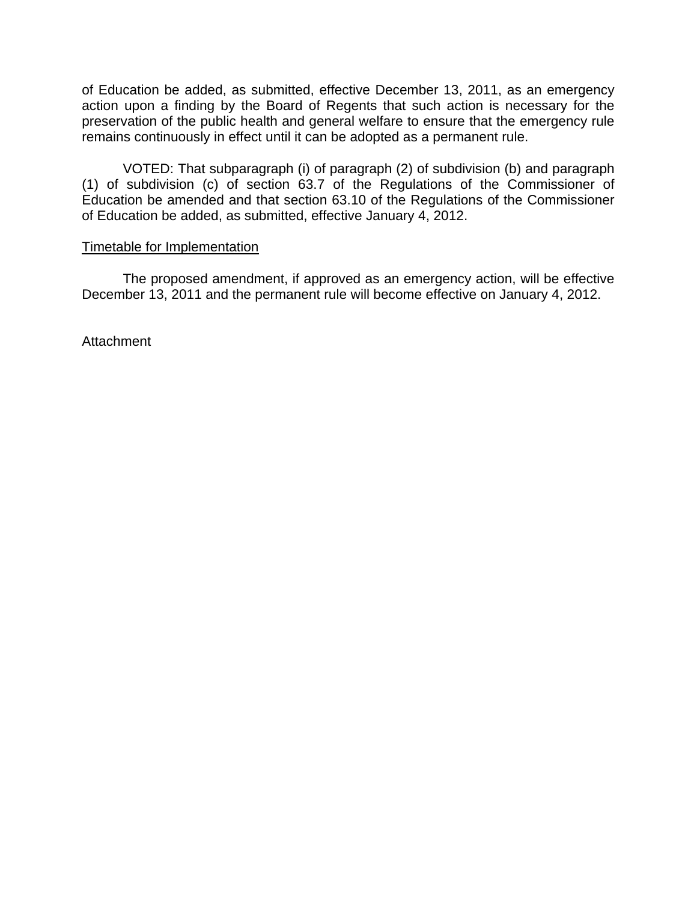of Education be added, as submitted, effective December 13, 2011, as an emergency action upon a finding by the Board of Regents that such action is necessary for the preservation of the public health and general welfare to ensure that the emergency rule remains continuously in effect until it can be adopted as a permanent rule.

VOTED: That subparagraph (i) of paragraph (2) of subdivision (b) and paragraph (1) of subdivision (c) of section 63.7 of the Regulations of the Commissioner of Education be amended and that section 63.10 of the Regulations of the Commissioner of Education be added, as submitted, effective January 4, 2012.

# Timetable for Implementation

 The proposed amendment, if approved as an emergency action, will be effective December 13, 2011 and the permanent rule will become effective on January 4, 2012.

**Attachment**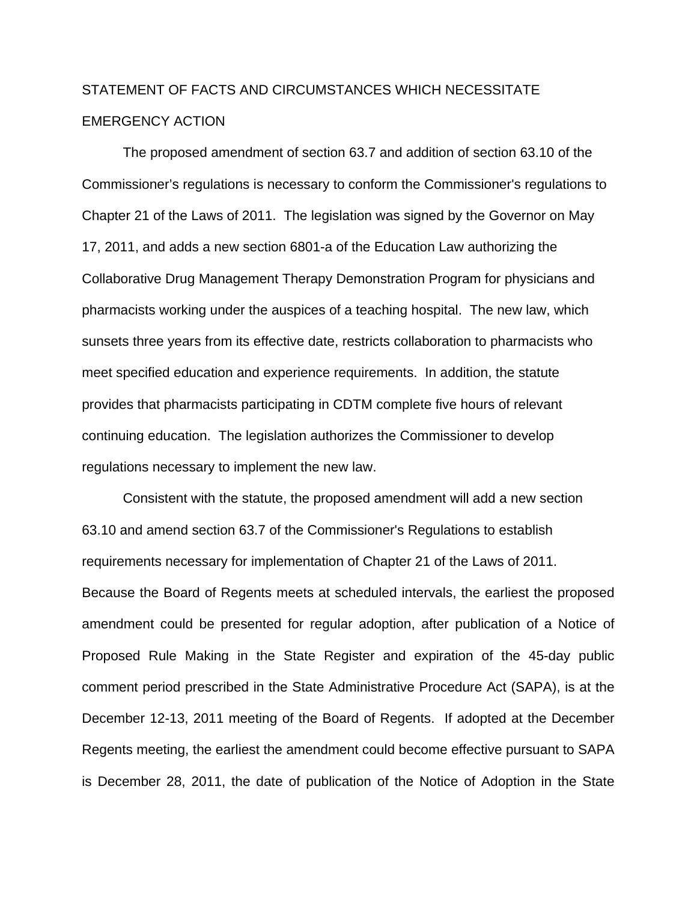# STATEMENT OF FACTS AND CIRCUMSTANCES WHICH NECESSITATE EMERGENCY ACTION

The proposed amendment of section 63.7 and addition of section 63.10 of the Commissioner's regulations is necessary to conform the Commissioner's regulations to Chapter 21 of the Laws of 2011. The legislation was signed by the Governor on May 17, 2011, and adds a new section 6801-a of the Education Law authorizing the Collaborative Drug Management Therapy Demonstration Program for physicians and pharmacists working under the auspices of a teaching hospital. The new law, which sunsets three years from its effective date, restricts collaboration to pharmacists who meet specified education and experience requirements. In addition, the statute provides that pharmacists participating in CDTM complete five hours of relevant continuing education. The legislation authorizes the Commissioner to develop regulations necessary to implement the new law.

Consistent with the statute, the proposed amendment will add a new section 63.10 and amend section 63.7 of the Commissioner's Regulations to establish requirements necessary for implementation of Chapter 21 of the Laws of 2011. Because the Board of Regents meets at scheduled intervals, the earliest the proposed amendment could be presented for regular adoption, after publication of a Notice of Proposed Rule Making in the State Register and expiration of the 45-day public comment period prescribed in the State Administrative Procedure Act (SAPA), is at the December 12-13, 2011 meeting of the Board of Regents. If adopted at the December Regents meeting, the earliest the amendment could become effective pursuant to SAPA is December 28, 2011, the date of publication of the Notice of Adoption in the State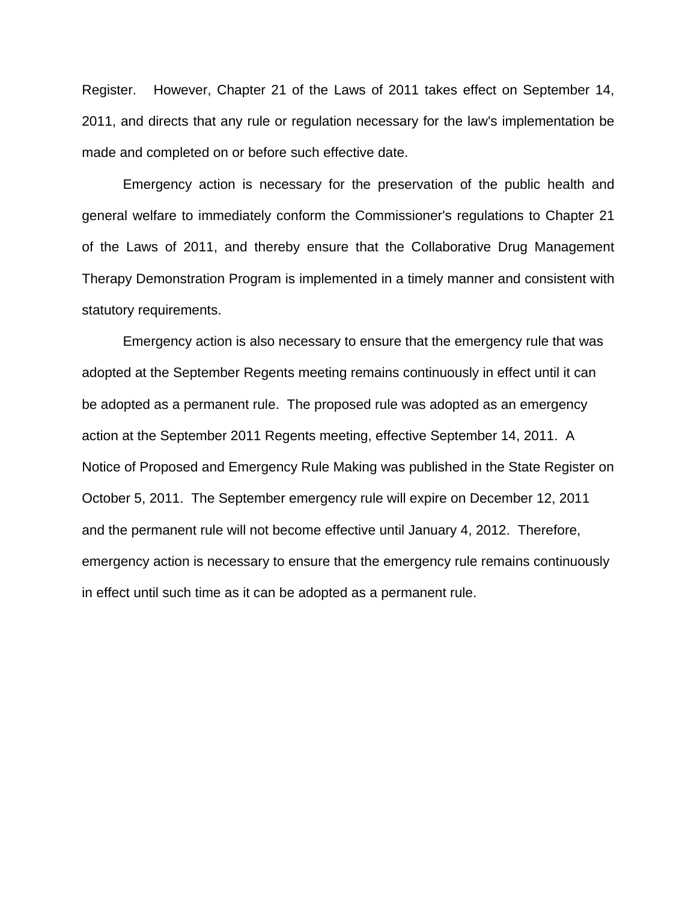Register. However, Chapter 21 of the Laws of 2011 takes effect on September 14, 2011, and directs that any rule or regulation necessary for the law's implementation be made and completed on or before such effective date.

 Emergency action is necessary for the preservation of the public health and general welfare to immediately conform the Commissioner's regulations to Chapter 21 of the Laws of 2011, and thereby ensure that the Collaborative Drug Management Therapy Demonstration Program is implemented in a timely manner and consistent with statutory requirements.

Emergency action is also necessary to ensure that the emergency rule that was adopted at the September Regents meeting remains continuously in effect until it can be adopted as a permanent rule. The proposed rule was adopted as an emergency action at the September 2011 Regents meeting, effective September 14, 2011. A Notice of Proposed and Emergency Rule Making was published in the State Register on October 5, 2011. The September emergency rule will expire on December 12, 2011 and the permanent rule will not become effective until January 4, 2012. Therefore, emergency action is necessary to ensure that the emergency rule remains continuously in effect until such time as it can be adopted as a permanent rule.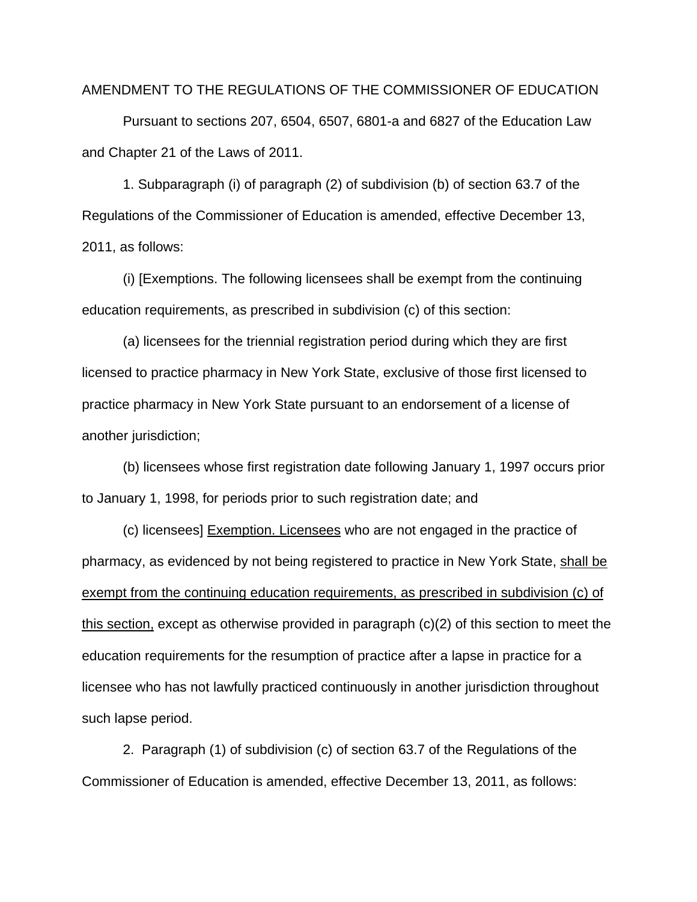#### AMENDMENT TO THE REGULATIONS OF THE COMMISSIONER OF EDUCATION

 Pursuant to sections 207, 6504, 6507, 6801-a and 6827 of the Education Law and Chapter 21 of the Laws of 2011.

1. Subparagraph (i) of paragraph (2) of subdivision (b) of section 63.7 of the Regulations of the Commissioner of Education is amended, effective December 13, 2011, as follows:

(i) [Exemptions. The following licensees shall be exempt from the continuing education requirements, as prescribed in subdivision (c) of this section:

(a) licensees for the triennial registration period during which they are first licensed to practice pharmacy in New York State, exclusive of those first licensed to practice pharmacy in New York State pursuant to an endorsement of a license of another jurisdiction;

(b) licensees whose first registration date following January 1, 1997 occurs prior to January 1, 1998, for periods prior to such registration date; and

(c) licensees] Exemption. Licensees who are not engaged in the practice of pharmacy, as evidenced by not being registered to practice in New York State, shall be exempt from the continuing education requirements, as prescribed in subdivision (c) of this section, except as otherwise provided in paragraph (c)(2) of this section to meet the education requirements for the resumption of practice after a lapse in practice for a licensee who has not lawfully practiced continuously in another jurisdiction throughout such lapse period.

2. Paragraph (1) of subdivision (c) of section 63.7 of the Regulations of the Commissioner of Education is amended, effective December 13, 2011, as follows: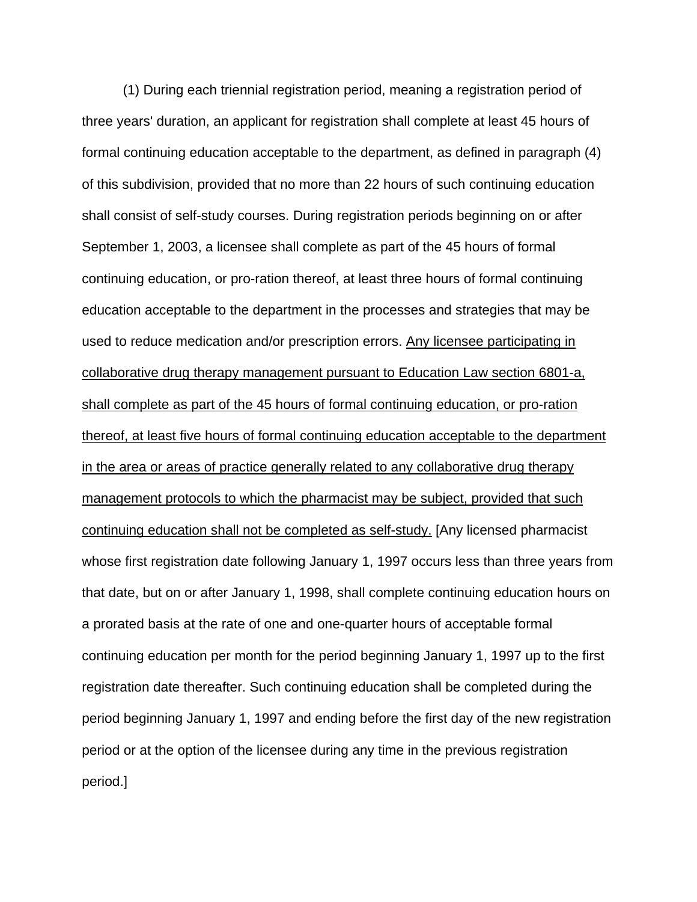(1) During each triennial registration period, meaning a registration period of three years' duration, an applicant for registration shall complete at least 45 hours of formal continuing education acceptable to the department, as defined in paragraph (4) of this subdivision, provided that no more than 22 hours of such continuing education shall consist of self-study courses. During registration periods beginning on or after September 1, 2003, a licensee shall complete as part of the 45 hours of formal continuing education, or pro-ration thereof, at least three hours of formal continuing education acceptable to the department in the processes and strategies that may be used to reduce medication and/or prescription errors. Any licensee participating in collaborative drug therapy management pursuant to Education Law section 6801-a, shall complete as part of the 45 hours of formal continuing education, or pro-ration thereof, at least five hours of formal continuing education acceptable to the department in the area or areas of practice generally related to any collaborative drug therapy management protocols to which the pharmacist may be subject, provided that such continuing education shall not be completed as self-study. [Any licensed pharmacist whose first registration date following January 1, 1997 occurs less than three years from that date, but on or after January 1, 1998, shall complete continuing education hours on a prorated basis at the rate of one and one-quarter hours of acceptable formal continuing education per month for the period beginning January 1, 1997 up to the first registration date thereafter. Such continuing education shall be completed during the period beginning January 1, 1997 and ending before the first day of the new registration period or at the option of the licensee during any time in the previous registration period.]